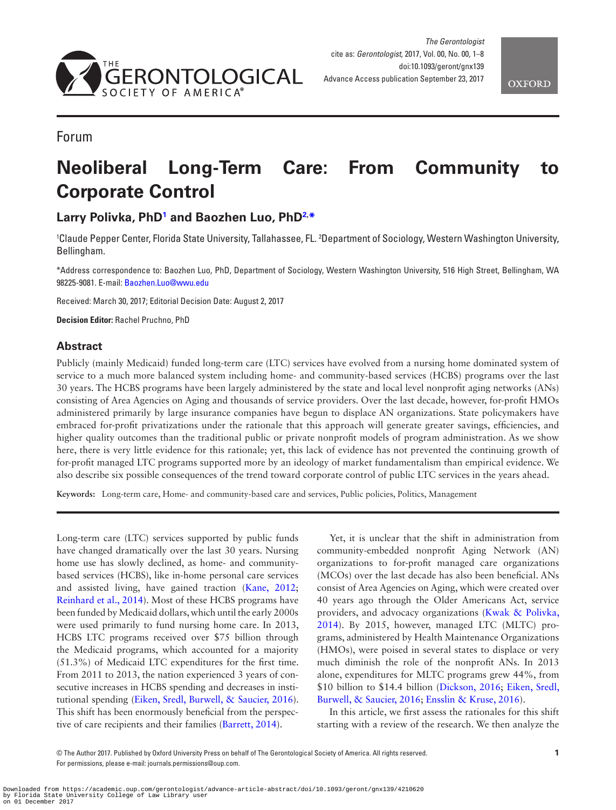

<span id="page-0-1"></span>

# Forum

# **Neoliberal Long-Term Care: From Community to Corporate Control**

# **Larry Polivka, Ph[D1](#page-0-0) and Baozhen Luo, PhD[2](#page-0-1), [\\*](#page-0-2)**

<span id="page-0-0"></span>'Claude Pepper Center, Florida State University, Tallahassee, FL. <sup>2</sup>Department of Sociology, Western Washington University, Bellingham.

<span id="page-0-2"></span>\*Address correspondence to: Baozhen Luo, PhD, Department of Sociology, Western Washington University, 516 High Street, Bellingham, WA 98225-9081. E-mail: [Baozhen.Luo@wwu.edu](mailto:Baozhen.Luo@wwu.edu?subject=)

Received: March 30, 2017; Editorial Decision Date: August 2, 2017

**Decision Editor:** Rachel Pruchno, PhD

# **Abstract**

Publicly (mainly Medicaid) funded long-term care (LTC) services have evolved from a nursing home dominated system of service to a much more balanced system including home- and community-based services (HCBS) programs over the last 30 years. The HCBS programs have been largely administered by the state and local level nonprofit aging networks (ANs) consisting of Area Agencies on Aging and thousands of service providers. Over the last decade, however, for-profit HMOs administered primarily by large insurance companies have begun to displace AN organizations. State policymakers have embraced for-profit privatizations under the rationale that this approach will generate greater savings, efficiencies, and higher quality outcomes than the traditional public or private nonprofit models of program administration. As we show here, there is very little evidence for this rationale; yet, this lack of evidence has not prevented the continuing growth of for-profit managed LTC programs supported more by an ideology of market fundamentalism than empirical evidence. We also describe six possible consequences of the trend toward corporate control of public LTC services in the years ahead.

**Keywords:** Long-term care, Home- and community-based care and services, Public policies, Politics, Management

Long-term care (LTC) services supported by public funds have changed dramatically over the last 30 years. Nursing home use has slowly declined, as home- and communitybased services (HCBS), like in-home personal care services and assisted living, have gained traction [\(Kane, 2012](#page-6-0); [Reinhard et al., 2014](#page-6-1)). Most of these HCBS programs have been funded by Medicaid dollars, which until the early 2000s were used primarily to fund nursing home care. In 2013, HCBS LTC programs received over \$75 billion through the Medicaid programs, which accounted for a majority (51.3%) of Medicaid LTC expenditures for the first time. From 2011 to 2013, the nation experienced 3 years of consecutive increases in HCBS spending and decreases in institutional spending [\(Eiken, Sredl, Burwell, & Saucier, 2016](#page-6-2)). This shift has been enormously beneficial from the perspective of care recipients and their families [\(Barrett, 2014](#page-5-0)).

Yet, it is unclear that the shift in administration from community-embedded nonprofit Aging Network (AN) organizations to for-profit managed care organizations (MCOs) over the last decade has also been beneficial. ANs consist of Area Agencies on Aging, which were created over 40 years ago through the Older Americans Act, service providers, and advocacy organizations [\(Kwak & Polivka,](#page-6-3)  [2014](#page-6-3)). By 2015, however, managed LTC (MLTC) programs, administered by Health Maintenance Organizations (HMOs), were poised in several states to displace or very much diminish the role of the nonprofit ANs. In 2013 alone, expenditures for MLTC programs grew 44%, from \$10 billion to \$14.4 billion [\(Dickson, 2016](#page-5-1); [Eiken, Sredl,](#page-6-2)  [Burwell, & Saucier, 2016;](#page-6-2) [Ensslin & Kruse, 2016](#page-6-4)).

In this article, we first assess the rationales for this shift starting with a review of the research. We then analyze the

<sup>©</sup> The Author 2017. Published by Oxford University Press on behalf of The Gerontological Society of America. All rights reserved. For permissions, please e-mail: journals.permissions@oup.com.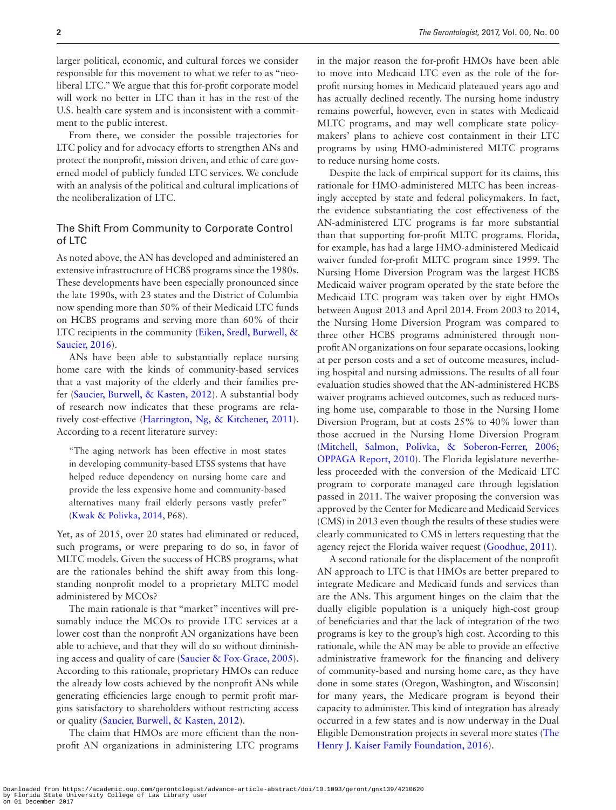larger political, economic, and cultural forces we consider responsible for this movement to what we refer to as "neoliberal LTC." We argue that this for-profit corporate model will work no better in LTC than it has in the rest of the U.S. health care system and is inconsistent with a commitment to the public interest.

From there, we consider the possible trajectories for LTC policy and for advocacy efforts to strengthen ANs and protect the nonprofit, mission driven, and ethic of care governed model of publicly funded LTC services. We conclude with an analysis of the political and cultural implications of the neoliberalization of LTC.

### The Shift From Community to Corporate Control of LTC

As noted above, the AN has developed and administered an extensive infrastructure of HCBS programs since the 1980s. These developments have been especially pronounced since the late 1990s, with 23 states and the District of Columbia now spending more than 50% of their Medicaid LTC funds on HCBS programs and serving more than 60% of their LTC recipients in the community ([Eiken, Sredl, Burwell, &](#page-6-2)  [Saucier, 2016\)](#page-6-2).

ANs have been able to substantially replace nursing home care with the kinds of community-based services that a vast majority of the elderly and their families prefer [\(Saucier, Burwell, & Kasten, 2012\)](#page-6-5). A substantial body of research now indicates that these programs are relatively cost-effective [\(Harrington, Ng, & Kitchener, 2011](#page-6-6)). According to a recent literature survey:

"The aging network has been effective in most states in developing community-based LTSS systems that have helped reduce dependency on nursing home care and provide the less expensive home and community-based alternatives many frail elderly persons vastly prefer" ([Kwak & Polivka, 2014](#page-6-3), P68).

Yet, as of 2015, over 20 states had eliminated or reduced, such programs, or were preparing to do so, in favor of MLTC models. Given the success of HCBS programs, what are the rationales behind the shift away from this longstanding nonprofit model to a proprietary MLTC model administered by MCOs?

The main rationale is that "market" incentives will presumably induce the MCOs to provide LTC services at a lower cost than the nonprofit AN organizations have been able to achieve, and that they will do so without diminishing access and quality of care [\(Saucier & Fox-Grace, 2005](#page-6-7)). According to this rationale, proprietary HMOs can reduce the already low costs achieved by the nonprofit ANs while generating efficiencies large enough to permit profit margins satisfactory to shareholders without restricting access or quality [\(Saucier, Burwell, & Kasten, 2012](#page-6-5)).

The claim that HMOs are more efficient than the nonprofit AN organizations in administering LTC programs

in the major reason the for-profit HMOs have been able to move into Medicaid LTC even as the role of the forprofit nursing homes in Medicaid plateaued years ago and has actually declined recently. The nursing home industry remains powerful, however, even in states with Medicaid MLTC programs, and may well complicate state policymakers' plans to achieve cost containment in their LTC programs by using HMO-administered MLTC programs to reduce nursing home costs.

Despite the lack of empirical support for its claims, this rationale for HMO-administered MLTC has been increasingly accepted by state and federal policymakers. In fact, the evidence substantiating the cost effectiveness of the AN-administered LTC programs is far more substantial than that supporting for-profit MLTC programs. Florida, for example, has had a large HMO-administered Medicaid waiver funded for-profit MLTC program since 1999. The Nursing Home Diversion Program was the largest HCBS Medicaid waiver program operated by the state before the Medicaid LTC program was taken over by eight HMOs between August 2013 and April 2014. From 2003 to 2014, the Nursing Home Diversion Program was compared to three other HCBS programs administered through nonprofit AN organizations on four separate occasions, looking at per person costs and a set of outcome measures, including hospital and nursing admissions. The results of all four evaluation studies showed that the AN-administered HCBS waiver programs achieved outcomes, such as reduced nursing home use, comparable to those in the Nursing Home Diversion Program, but at costs 25% to 40% lower than those accrued in the Nursing Home Diversion Program ([Mitchell, Salmon, Polivka, & Soberon-Ferrer, 2006](#page-6-8); [OPPAGA Report, 2010](#page-6-9)). The Florida legislature nevertheless proceeded with the conversion of the Medicaid LTC program to corporate managed care through legislation passed in 2011. The waiver proposing the conversion was approved by the Center for Medicare and Medicaid Services (CMS) in 2013 even though the results of these studies were clearly communicated to CMS in letters requesting that the agency reject the Florida waiver request ([Goodhue, 2011\)](#page-6-10).

A second rationale for the displacement of the nonprofit AN approach to LTC is that HMOs are better prepared to integrate Medicare and Medicaid funds and services than are the ANs. This argument hinges on the claim that the dually eligible population is a uniquely high-cost group of beneficiaries and that the lack of integration of the two programs is key to the group's high cost. According to this rationale, while the AN may be able to provide an effective administrative framework for the financing and delivery of community-based and nursing home care, as they have done in some states (Oregon, Washington, and Wisconsin) for many years, the Medicare program is beyond their capacity to administer. This kind of integration has already occurred in a few states and is now underway in the Dual Eligible Demonstration projects in several more states [\(The](#page-7-0)  [Henry J. Kaiser Family Foundation, 2016](#page-7-0)).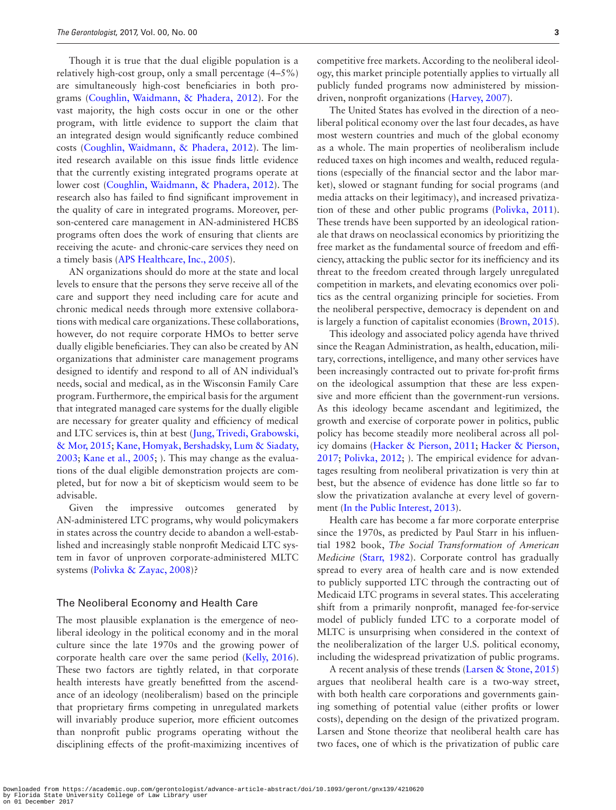Though it is true that the dual eligible population is a relatively high-cost group, only a small percentage (4–5%) are simultaneously high-cost beneficiaries in both programs ([Coughlin, Waidmann, & Phadera, 2012](#page-5-2)). For the vast majority, the high costs occur in one or the other program, with little evidence to support the claim that an integrated design would significantly reduce combined costs [\(Coughlin, Waidmann, & Phadera, 2012\)](#page-5-2). The limited research available on this issue finds little evidence that the currently existing integrated programs operate at lower cost ([Coughlin, Waidmann, & Phadera, 2012\)](#page-5-2). The research also has failed to find significant improvement in the quality of care in integrated programs. Moreover, person-centered care management in AN-administered HCBS programs often does the work of ensuring that clients are receiving the acute- and chronic-care services they need on a timely basis [\(APS Healthcare, Inc., 2005](#page-5-3)).

AN organizations should do more at the state and local levels to ensure that the persons they serve receive all of the care and support they need including care for acute and chronic medical needs through more extensive collaborations with medical care organizations. These collaborations, however, do not require corporate HMOs to better serve dually eligible beneficiaries. They can also be created by AN organizations that administer care management programs designed to identify and respond to all of AN individual's needs, social and medical, as in the Wisconsin Family Care program. Furthermore, the empirical basis for the argument that integrated managed care systems for the dually eligible are necessary for greater quality and efficiency of medical and LTC services is, thin at best [\(Jung, Trivedi, Grabowski,](#page-6-11)  [& Mor, 2015;](#page-6-11) [Kane, Homyak, Bershadsky, Lum & Siadaty,](#page-6-12)  [2003](#page-6-12); [Kane et al., 2005](#page-6-13); ). This may change as the evaluations of the dual eligible demonstration projects are completed, but for now a bit of skepticism would seem to be advisable.

Given the impressive outcomes generated by AN-administered LTC programs, why would policymakers in states across the country decide to abandon a well-established and increasingly stable nonprofit Medicaid LTC system in favor of unproven corporate-administered MLTC systems ([Polivka & Zayac, 2008](#page-6-14))?

#### The Neoliberal Economy and Health Care

The most plausible explanation is the emergence of neoliberal ideology in the political economy and in the moral culture since the late 1970s and the growing power of corporate health care over the same period [\(Kelly, 2016](#page-6-15)). These two factors are tightly related, in that corporate health interests have greatly benefitted from the ascendance of an ideology (neoliberalism) based on the principle that proprietary firms competing in unregulated markets will invariably produce superior, more efficient outcomes than nonprofit public programs operating without the disciplining effects of the profit-maximizing incentives of competitive free markets. According to the neoliberal ideology, this market principle potentially applies to virtually all publicly funded programs now administered by missiondriven, nonprofit organizations [\(Harvey, 2007](#page-6-16)).

The United States has evolved in the direction of a neoliberal political economy over the last four decades, as have most western countries and much of the global economy as a whole. The main properties of neoliberalism include reduced taxes on high incomes and wealth, reduced regulations (especially of the financial sector and the labor market), slowed or stagnant funding for social programs (and media attacks on their legitimacy), and increased privatization of these and other public programs ([Polivka, 2011](#page-6-17)). These trends have been supported by an ideological rationale that draws on neoclassical economics by prioritizing the free market as the fundamental source of freedom and efficiency, attacking the public sector for its inefficiency and its threat to the freedom created through largely unregulated competition in markets, and elevating economics over politics as the central organizing principle for societies. From the neoliberal perspective, democracy is dependent on and is largely a function of capitalist economies [\(Brown, 2015](#page-5-4)).

This ideology and associated policy agenda have thrived since the Reagan Administration, as health, education, military, corrections, intelligence, and many other services have been increasingly contracted out to private for-profit firms on the ideological assumption that these are less expensive and more efficient than the government-run versions. As this ideology became ascendant and legitimized, the growth and exercise of corporate power in politics, public policy has become steadily more neoliberal across all policy domains ([Hacker & Pierson, 2011;](#page-6-18) [Hacker & Pierson,](#page-6-19)  [2017](#page-6-19); [Polivka, 2012;](#page-6-20) ). The empirical evidence for advantages resulting from neoliberal privatization is very thin at best, but the absence of evidence has done little so far to slow the privatization avalanche at every level of government [\(In the Public Interest, 2013](#page-6-21)).

Health care has become a far more corporate enterprise since the 1970s, as predicted by Paul Starr in his influential 1982 book, *The Social Transformation of American Medicine* ([Starr, 1982\)](#page-7-1). Corporate control has gradually spread to every area of health care and is now extended to publicly supported LTC through the contracting out of Medicaid LTC programs in several states. This accelerating shift from a primarily nonprofit, managed fee-for-service model of publicly funded LTC to a corporate model of MLTC is unsurprising when considered in the context of the neoliberalization of the larger U.S. political economy, including the widespread privatization of public programs.

A recent analysis of these trends [\(Larsen & Stone, 2015\)](#page-6-22) argues that neoliberal health care is a two-way street, with both health care corporations and governments gaining something of potential value (either profits or lower costs), depending on the design of the privatized program. Larsen and Stone theorize that neoliberal health care has two faces, one of which is the privatization of public care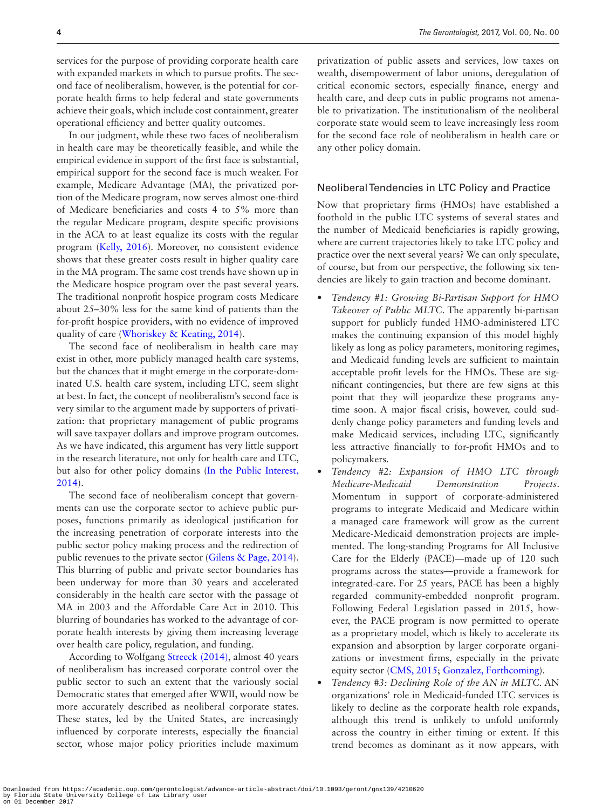services for the purpose of providing corporate health care with expanded markets in which to pursue profits. The second face of neoliberalism, however, is the potential for corporate health firms to help federal and state governments achieve their goals, which include cost containment, greater operational efficiency and better quality outcomes.

In our judgment, while these two faces of neoliberalism in health care may be theoretically feasible, and while the empirical evidence in support of the first face is substantial, empirical support for the second face is much weaker. For example, Medicare Advantage (MA), the privatized portion of the Medicare program, now serves almost one-third of Medicare beneficiaries and costs 4 to 5% more than the regular Medicare program, despite specific provisions in the ACA to at least equalize its costs with the regular program [\(Kelly, 2016\)](#page-6-15). Moreover, no consistent evidence shows that these greater costs result in higher quality care in the MA program. The same cost trends have shown up in the Medicare hospice program over the past several years. The traditional nonprofit hospice program costs Medicare about 25–30% less for the same kind of patients than the for-profit hospice providers, with no evidence of improved quality of care ([Whoriskey & Keating, 2014](#page-7-2)).

The second face of neoliberalism in health care may exist in other, more publicly managed health care systems, but the chances that it might emerge in the corporate-dominated U.S. health care system, including LTC, seem slight at best. In fact, the concept of neoliberalism's second face is very similar to the argument made by supporters of privatization: that proprietary management of public programs will save taxpayer dollars and improve program outcomes. As we have indicated, this argument has very little support in the research literature, not only for health care and LTC, but also for other policy domains [\(In the Public Interest,](#page-6-23)  [2014](#page-6-23)).

The second face of neoliberalism concept that governments can use the corporate sector to achieve public purposes, functions primarily as ideological justification for the increasing penetration of corporate interests into the public sector policy making process and the redirection of public revenues to the private sector ([Gilens & Page, 2014](#page-6-24)). This blurring of public and private sector boundaries has been underway for more than 30 years and accelerated considerably in the health care sector with the passage of MA in 2003 and the Affordable Care Act in 2010. This blurring of boundaries has worked to the advantage of corporate health interests by giving them increasing leverage over health care policy, regulation, and funding.

According to Wolfgang [Streeck \(2014\),](#page-7-3) almost 40 years of neoliberalism has increased corporate control over the public sector to such an extent that the variously social Democratic states that emerged after WWII, would now be more accurately described as neoliberal corporate states. These states, led by the United States, are increasingly influenced by corporate interests, especially the financial sector, whose major policy priorities include maximum

privatization of public assets and services, low taxes on wealth, disempowerment of labor unions, deregulation of critical economic sectors, especially finance, energy and health care, and deep cuts in public programs not amenable to privatization. The institutionalism of the neoliberal corporate state would seem to leave increasingly less room for the second face role of neoliberalism in health care or any other policy domain.

#### Neoliberal Tendencies in LTC Policy and Practice

Now that proprietary firms (HMOs) have established a foothold in the public LTC systems of several states and the number of Medicaid beneficiaries is rapidly growing, where are current trajectories likely to take LTC policy and practice over the next several years? We can only speculate, of course, but from our perspective, the following six tendencies are likely to gain traction and become dominant.

- *Tendency #1: Growing Bi-Partisan Support for HMO Takeover of Public MLTC*. The apparently bi-partisan support for publicly funded HMO-administered LTC makes the continuing expansion of this model highly likely as long as policy parameters, monitoring regimes, and Medicaid funding levels are sufficient to maintain acceptable profit levels for the HMOs. These are significant contingencies, but there are few signs at this point that they will jeopardize these programs anytime soon. A major fiscal crisis, however, could suddenly change policy parameters and funding levels and make Medicaid services, including LTC, significantly less attractive financially to for-profit HMOs and to policymakers.
- *Tendency #2: Expansion of HMO LTC through Medicare-Medicaid Demonstration Projects*. Momentum in support of corporate-administered programs to integrate Medicaid and Medicare within a managed care framework will grow as the current Medicare-Medicaid demonstration projects are implemented. The long-standing Programs for All Inclusive Care for the Elderly (PACE)—made up of 120 such programs across the states—provide a framework for integrated-care. For 25 years, PACE has been a highly regarded community-embedded nonprofit program. Following Federal Legislation passed in 2015, however, the PACE program is now permitted to operate as a proprietary model, which is likely to accelerate its expansion and absorption by larger corporate organizations or investment firms, especially in the private equity sector [\(CMS, 2015](#page-5-5); [Gonzalez, Forthcoming](#page-6-25)).
- *Tendency #3: Declining Role of the AN in MLTC*. AN organizations' role in Medicaid-funded LTC services is likely to decline as the corporate health role expands, although this trend is unlikely to unfold uniformly across the country in either timing or extent. If this trend becomes as dominant as it now appears, with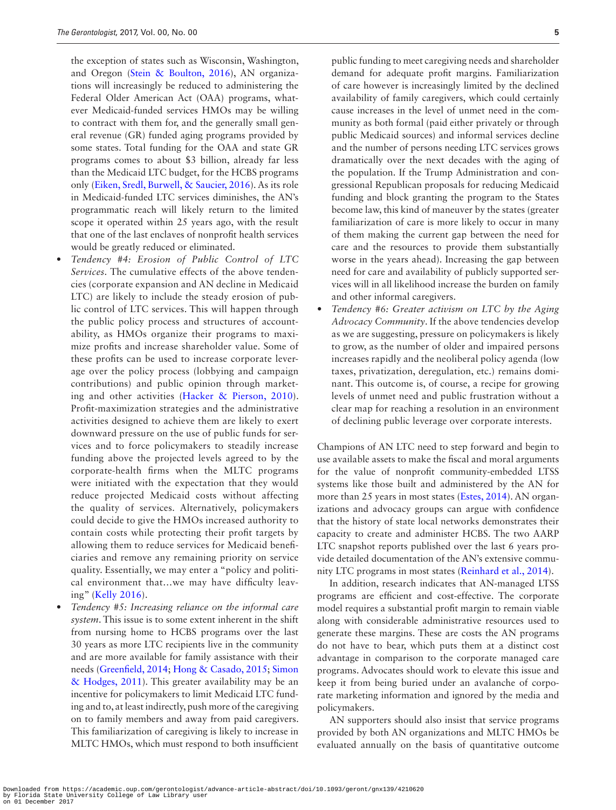the exception of states such as Wisconsin, Washington, and Oregon [\(Stein & Boulton, 2016\)](#page-7-4), AN organizations will increasingly be reduced to administering the Federal Older American Act (OAA) programs, whatever Medicaid-funded services HMOs may be willing to contract with them for, and the generally small general revenue (GR) funded aging programs provided by some states. Total funding for the OAA and state GR programs comes to about \$3 billion, already far less than the Medicaid LTC budget, for the HCBS programs only [\(Eiken, Sredl, Burwell, & Saucier, 2016](#page-6-2)). As its role in Medicaid-funded LTC services diminishes, the AN's programmatic reach will likely return to the limited scope it operated within 25 years ago, with the result that one of the last enclaves of nonprofit health services would be greatly reduced or eliminated.

- *Tendency #4: Erosion of Public Control of LTC Services.* The cumulative effects of the above tendencies (corporate expansion and AN decline in Medicaid LTC) are likely to include the steady erosion of public control of LTC services. This will happen through the public policy process and structures of accountability, as HMOs organize their programs to maximize profits and increase shareholder value. Some of these profits can be used to increase corporate leverage over the policy process (lobbying and campaign contributions) and public opinion through marketing and other activities ([Hacker & Pierson, 2010](#page-6-26)). Profit-maximization strategies and the administrative activities designed to achieve them are likely to exert downward pressure on the use of public funds for services and to force policymakers to steadily increase funding above the projected levels agreed to by the corporate-health firms when the MLTC programs were initiated with the expectation that they would reduce projected Medicaid costs without affecting the quality of services. Alternatively, policymakers could decide to give the HMOs increased authority to contain costs while protecting their profit targets by allowing them to reduce services for Medicaid beneficiaries and remove any remaining priority on service quality. Essentially, we may enter a "policy and political environment that…we may have difficulty leaving" ([Kelly 2016](#page-6-15)).
- *Tendency #5: Increasing reliance on the informal care system*. This issue is to some extent inherent in the shift from nursing home to HCBS programs over the last 30 years as more LTC recipients live in the community and are more available for family assistance with their needs [\(Greenfield, 2014](#page-6-27); [Hong & Casado, 2015;](#page-6-28) [Simon](#page-7-5)  [& Hodges, 2011](#page-7-5)). This greater availability may be an incentive for policymakers to limit Medicaid LTC funding and to, at least indirectly, push more of the caregiving on to family members and away from paid caregivers. This familiarization of caregiving is likely to increase in MLTC HMOs, which must respond to both insufficient

public funding to meet caregiving needs and shareholder demand for adequate profit margins. Familiarization of care however is increasingly limited by the declined availability of family caregivers, which could certainly cause increases in the level of unmet need in the community as both formal (paid either privately or through public Medicaid sources) and informal services decline and the number of persons needing LTC services grows dramatically over the next decades with the aging of the population. If the Trump Administration and congressional Republican proposals for reducing Medicaid funding and block granting the program to the States become law, this kind of maneuver by the states (greater familiarization of care is more likely to occur in many of them making the current gap between the need for care and the resources to provide them substantially worse in the years ahead). Increasing the gap between need for care and availability of publicly supported services will in all likelihood increase the burden on family and other informal caregivers.

• *Tendency #6: Greater activism on LTC by the Aging Advocacy Community*. If the above tendencies develop as we are suggesting, pressure on policymakers is likely to grow, as the number of older and impaired persons increases rapidly and the neoliberal policy agenda (low taxes, privatization, deregulation, etc.) remains dominant. This outcome is, of course, a recipe for growing levels of unmet need and public frustration without a clear map for reaching a resolution in an environment of declining public leverage over corporate interests.

Champions of AN LTC need to step forward and begin to use available assets to make the fiscal and moral arguments for the value of nonprofit community-embedded LTSS systems like those built and administered by the AN for more than 25 years in most states [\(Estes, 2014](#page-6-29)). AN organizations and advocacy groups can argue with confidence that the history of state local networks demonstrates their capacity to create and administer HCBS. The two AARP LTC snapshot reports published over the last 6 years provide detailed documentation of the AN's extensive community LTC programs in most states ([Reinhard et al., 2014](#page-6-1)).

In addition, research indicates that AN-managed LTSS programs are efficient and cost-effective. The corporate model requires a substantial profit margin to remain viable along with considerable administrative resources used to generate these margins. These are costs the AN programs do not have to bear, which puts them at a distinct cost advantage in comparison to the corporate managed care programs. Advocates should work to elevate this issue and keep it from being buried under an avalanche of corporate marketing information and ignored by the media and policymakers.

AN supporters should also insist that service programs provided by both AN organizations and MLTC HMOs be evaluated annually on the basis of quantitative outcome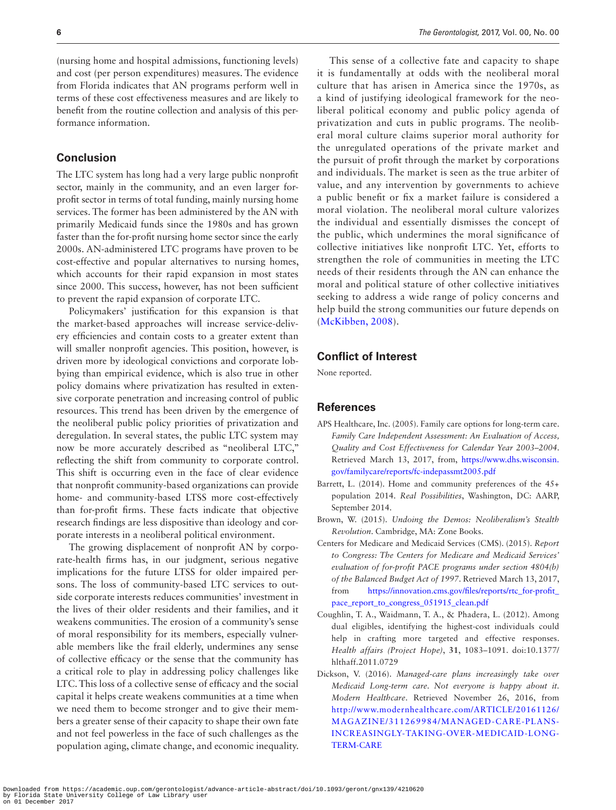(nursing home and hospital admissions, functioning levels) and cost (per person expenditures) measures. The evidence from Florida indicates that AN programs perform well in terms of these cost effectiveness measures and are likely to benefit from the routine collection and analysis of this performance information.

## **Conclusion**

The LTC system has long had a very large public nonprofit sector, mainly in the community, and an even larger forprofit sector in terms of total funding, mainly nursing home services. The former has been administered by the AN with primarily Medicaid funds since the 1980s and has grown faster than the for-profit nursing home sector since the early 2000s. AN-administered LTC programs have proven to be cost-effective and popular alternatives to nursing homes, which accounts for their rapid expansion in most states since 2000. This success, however, has not been sufficient to prevent the rapid expansion of corporate LTC.

Policymakers' justification for this expansion is that the market-based approaches will increase service-delivery efficiencies and contain costs to a greater extent than will smaller nonprofit agencies. This position, however, is driven more by ideological convictions and corporate lobbying than empirical evidence, which is also true in other policy domains where privatization has resulted in extensive corporate penetration and increasing control of public resources. This trend has been driven by the emergence of the neoliberal public policy priorities of privatization and deregulation. In several states, the public LTC system may now be more accurately described as "neoliberal LTC," reflecting the shift from community to corporate control. This shift is occurring even in the face of clear evidence that nonprofit community-based organizations can provide home- and community-based LTSS more cost-effectively than for-profit firms. These facts indicate that objective research findings are less dispositive than ideology and corporate interests in a neoliberal political environment.

The growing displacement of nonprofit AN by corporate-health firms has, in our judgment, serious negative implications for the future LTSS for older impaired persons. The loss of community-based LTC services to outside corporate interests reduces communities' investment in the lives of their older residents and their families, and it weakens communities. The erosion of a community's sense of moral responsibility for its members, especially vulnerable members like the frail elderly, undermines any sense of collective efficacy or the sense that the community has a critical role to play in addressing policy challenges like LTC. This loss of a collective sense of efficacy and the social capital it helps create weakens communities at a time when we need them to become stronger and to give their members a greater sense of their capacity to shape their own fate and not feel powerless in the face of such challenges as the population aging, climate change, and economic inequality.

This sense of a collective fate and capacity to shape it is fundamentally at odds with the neoliberal moral culture that has arisen in America since the 1970s, as a kind of justifying ideological framework for the neoliberal political economy and public policy agenda of privatization and cuts in public programs. The neoliberal moral culture claims superior moral authority for the unregulated operations of the private market and the pursuit of profit through the market by corporations and individuals. The market is seen as the true arbiter of value, and any intervention by governments to achieve a public benefit or fix a market failure is considered a moral violation. The neoliberal moral culture valorizes the individual and essentially dismisses the concept of the public, which undermines the moral significance of collective initiatives like nonprofit LTC. Yet, efforts to strengthen the role of communities in meeting the LTC needs of their residents through the AN can enhance the moral and political stature of other collective initiatives seeking to address a wide range of policy concerns and help build the strong communities our future depends on ([McKibben, 2008](#page-6-30)).

## **Conflict of Interest**

None reported.

#### **References**

- <span id="page-5-3"></span>APS Healthcare, Inc. (2005). Family care options for long-term care. *Family Care Independent Assessment: An Evaluation of Access, Quality and Cost Effectiveness for Calendar Year 2003–2004*. Retrieved March 13, 2017, from, [https://www.dhs.wisconsin.](https://www.dhs.wisconsin.gov/familycare/reports/fc-indepassmt2005.pdf﻿) [gov/familycare/reports/fc-indepassmt2005.pdf](https://www.dhs.wisconsin.gov/familycare/reports/fc-indepassmt2005.pdf﻿)
- <span id="page-5-0"></span>Barrett, L. (2014). Home and community preferences of the 45+ population 2014. *Real Possibilities*, Washington, DC: AARP, September 2014.
- <span id="page-5-4"></span>Brown, W. (2015). *Undoing the Demos: Neoliberalism's Stealth Revolution*. Cambridge, MA: Zone Books.
- <span id="page-5-5"></span>Centers for Medicare and Medicaid Services (CMS). (2015). *Report to Congress: The Centers for Medicare and Medicaid Services' evaluation of for-profit PACE programs under section 4804(b) of the Balanced Budget Act of 1997*. Retrieved March 13, 2017, from [https://innovation.cms.gov/files/reports/rtc\\_for-profit\\_](https://innovation.cms.gov/files/reports/rtc_for-profit_pace_report_to_congress_051915_clean.pdf) [pace\\_report\\_to\\_congress\\_051915\\_clean.pdf](https://innovation.cms.gov/files/reports/rtc_for-profit_pace_report_to_congress_051915_clean.pdf)
- <span id="page-5-2"></span>Coughlin, T. A., Waidmann, T. A., & Phadera, L. (2012). Among dual eligibles, identifying the highest-cost individuals could help in crafting more targeted and effective responses. *Health affairs (Project Hope)*, **31**, 1083–1091. doi:10.1377/ hlthaff.2011.0729
- <span id="page-5-1"></span>Dickson, V. (2016). *Managed-care plans increasingly take over Medicaid Long-term care. Not everyone is happy about it. Modern Healthcare*. Retrieved November 26, 2016, from [http://www.modernhealthcare.com/ARTICLE/20161126/](http://www.modernhealthcare.com/ARTICLE/20161126/MAGAZINE/311269984/MANAGED-CARE-PLANS-INCREASINGLY-TAKING-OVER-MEDICAID-LONG-TERM-CARE) [MAGAZINE/311269984/MANAGED-CARE-PLANS-](http://www.modernhealthcare.com/ARTICLE/20161126/MAGAZINE/311269984/MANAGED-CARE-PLANS-INCREASINGLY-TAKING-OVER-MEDICAID-LONG-TERM-CARE)[INCREASINGLY-TAKING-OVER-MEDICAID-LONG-](http://www.modernhealthcare.com/ARTICLE/20161126/MAGAZINE/311269984/MANAGED-CARE-PLANS-INCREASINGLY-TAKING-OVER-MEDICAID-LONG-TERM-CARE)[TERM-CARE](http://www.modernhealthcare.com/ARTICLE/20161126/MAGAZINE/311269984/MANAGED-CARE-PLANS-INCREASINGLY-TAKING-OVER-MEDICAID-LONG-TERM-CARE)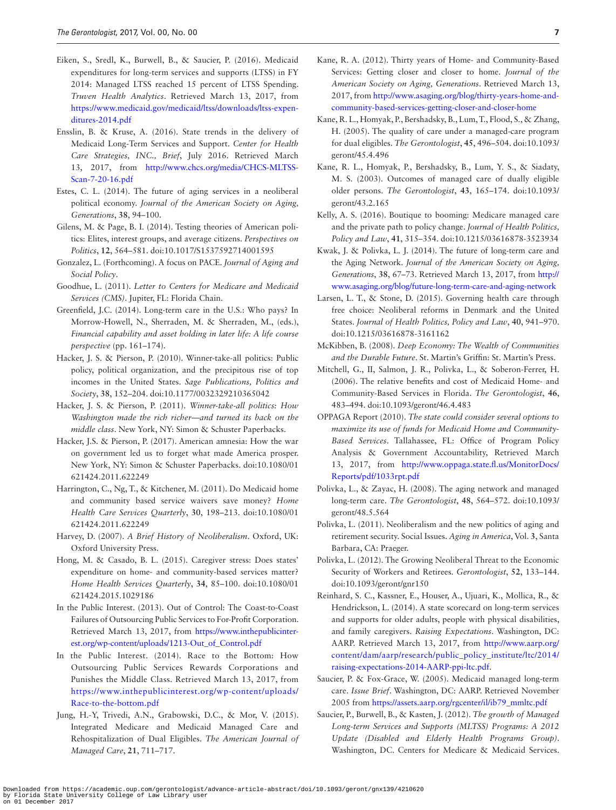- <span id="page-6-2"></span>Eiken, S., Sredl, K., Burwell, B., & Saucier, P. (2016). Medicaid expenditures for long-term services and supports (LTSS) in FY 2014: Managed LTSS reached 15 percent of LTSS Spending. *Truven Health Analytics*. Retrieved March 13, 2017, from [https://www.medicaid.gov/medicaid/ltss/downloads/ltss-expen](https://www.medicaid.gov/medicaid/ltss/downloads/ltss-expenditures-2014.pdf)[ditures-2014.pdf](https://www.medicaid.gov/medicaid/ltss/downloads/ltss-expenditures-2014.pdf)
- <span id="page-6-4"></span>Ensslin, B. & Kruse, A. (2016). State trends in the delivery of Medicaid Long-Term Services and Support. *Center for Health Care Strategies, INC., Brief*, July 2016. Retrieved March 13, 2017, from [http://www.chcs.org/media/CHCS-MLTSS-](http://www.chcs.org/media/CHCS-MLTSS-Scan-7-20-16.pdf﻿)[Scan-7-20-16.pdf](http://www.chcs.org/media/CHCS-MLTSS-Scan-7-20-16.pdf﻿)
- <span id="page-6-29"></span>Estes, C. L. (2014). The future of aging services in a neoliberal political economy. *Journal of the American Society on Aging, Generations*, **38**, 94–100.
- <span id="page-6-24"></span>Gilens, M. & Page, B. I. (2014). Testing theories of American politics: Elites, interest groups, and average citizens. *Perspectives on Politics*, **12**, 564–581. doi:10.1017/S1537592714001595
- <span id="page-6-25"></span>Gonzalez, L. (Forthcoming). A focus on PACE. *Journal of Aging and Social Policy*.
- <span id="page-6-10"></span>Goodhue, L. (2011). *Letter to Centers for Medicare and Medicaid Services (CMS)*. Jupiter, FL: Florida Chain.
- <span id="page-6-27"></span>Greenfield, J.C. (2014). Long-term care in the U.S.: Who pays? In Morrow-Howell, N., Sherraden, M. & Sherraden, M., (eds.), *Financial capability and asset holding in later life: A life course perspective* (pp. 161–174).
- <span id="page-6-26"></span>Hacker, J. S. & Pierson, P. (2010). Winner-take-all politics: Public policy, political organization, and the precipitous rise of top incomes in the United States. *Sage Publications, Politics and Society*, **38**, 152–204. doi:10.1177/0032329210365042
- <span id="page-6-18"></span>Hacker, J. S. & Pierson, P. (2011). *Winner-take-all politics: How Washington made the rich richer—and turned its back on the middle class*. New York, NY: Simon & Schuster Paperbacks.
- <span id="page-6-19"></span>Hacker, J.S. & Pierson, P. (2017). American amnesia: How the war on government led us to forget what made America prosper. New York, NY: Simon & Schuster Paperbacks. doi:10.1080/01 621424.2011.622249
- <span id="page-6-6"></span>Harrington, C., Ng, T., & Kitchener, M. (2011). Do Medicaid home and community based service waivers save money? *Home Health Care Services Quarterly*, **30**, 198–213. doi:10.1080/01 621424.2011.622249
- <span id="page-6-16"></span>Harvey, D. (2007). *A Brief History of Neoliberalism*. Oxford, UK: Oxford University Press.
- <span id="page-6-28"></span>Hong, M. & Casado, B. L. (2015). Caregiver stress: Does states' expenditure on home- and community-based services matter? *Home Health Services Quarterly*, **34**, 85–100. doi:10.1080/01 621424.2015.1029186
- <span id="page-6-21"></span>In the Public Interest. (2013). Out of Control: The Coast-to-Coast Failures of Outsourcing Public Services to For-Profit Corporation. Retrieved March 13, 2017, from [https://www.inthepublicinter](https://www.inthepublicinterest.org/wp-content/uploads/1213-Out_of_Control.pdf)[est.org/wp-content/uploads/1213-Out\\_of\\_Control.pdf](https://www.inthepublicinterest.org/wp-content/uploads/1213-Out_of_Control.pdf)
- <span id="page-6-23"></span>In the Public Interest. (2014). Race to the Bottom: How Outsourcing Public Services Rewards Corporations and Punishes the Middle Class. Retrieved March 13, 2017, from [https://www.inthepublicinterest.org/wp-content/uploads/](https://www.inthepublicinterest.org/wp-content/uploads/Race-to-the-bottom.pdf) [Race-to-the-bottom.pdf](https://www.inthepublicinterest.org/wp-content/uploads/Race-to-the-bottom.pdf)
- <span id="page-6-11"></span>Jung, H.-Y, Trivedi, A.N., Grabowski, D.C., & Mor, V. (2015). Integrated Medicare and Medicaid Managed Care and Rehospitalization of Dual Eligibles. *The American Journal of Managed Care*, **21**, 711–717.
- <span id="page-6-0"></span>Kane, R. A. (2012). Thirty years of Home- and Community-Based Services: Getting closer and closer to home. *Journal of the American Society on Aging, Generations*. Retrieved March 13, 2017, from [http://www.asaging.org/blog/thirty-years-home-and](http://www.asaging.org/blog/thirty-years-home-and-community-based-services-getting-closer-and-closer-home)[community-based-services-getting-closer-and-closer-home](http://www.asaging.org/blog/thirty-years-home-and-community-based-services-getting-closer-and-closer-home)
- <span id="page-6-13"></span>Kane, R. L., Homyak, P., Bershadsky, B., Lum, T., Flood, S., & Zhang, H. (2005). The quality of care under a managed-care program for dual eligibles. *The Gerontologist*, **45**, 496–504. doi:10.1093/ geront/45.4.496
- <span id="page-6-12"></span>Kane, R. L., Homyak, P., Bershadsky, B., Lum, Y. S., & Siadaty, M. S. (2003). Outcomes of managed care of dually eligible older persons. *The Gerontologist*, **43**, 165–174. doi:10.1093/ geront/43.2.165
- <span id="page-6-15"></span>Kelly, A. S. (2016). Boutique to booming: Medicare managed care and the private path to policy change. *Journal of Health Politics, Policy and Law*, **41**, 315–354. doi:10.1215/03616878-3523934
- <span id="page-6-3"></span>Kwak, J. & Polivka, L. J. (2014). The future of long-term care and the Aging Network. *Journal of the American Society on Aging, Generations*, **38**, 67–73. Retrieved March 13, 2017, from [http://](http://www.asaging.org/blog/future-long-term-care-and-aging-network﻿) [www.asaging.org/blog/future-long-term-care-and-aging-network](http://www.asaging.org/blog/future-long-term-care-and-aging-network﻿)
- <span id="page-6-22"></span>Larsen, L. T., & Stone, D. (2015). Governing health care through free choice: Neoliberal reforms in Denmark and the United States. *Journal of Health Politics, Policy and Law*, **40**, 941–970. doi:10.1215/03616878-3161162
- <span id="page-6-30"></span>McKibben, B. (2008). *Deep Economy: The Wealth of Communities and the Durable Future*. St. Martin's Griffin: St. Martin's Press.
- <span id="page-6-8"></span>Mitchell, G., II, Salmon, J. R., Polivka, L., & Soberon-Ferrer, H. (2006). The relative benefits and cost of Medicaid Home- and Community-Based Services in Florida. *The Gerontologist*, **46**, 483–494. doi:10.1093/geront/46.4.483
- <span id="page-6-9"></span>OPPAGA Report (2010). *The state could consider several options to maximize its use of funds for Medicaid Home and Community-Based Services*. Tallahassee, FL: Office of Program Policy Analysis & Government Accountability, Retrieved March 13, 2017, from [http://www.oppaga.state.fl.us/MonitorDocs/](http://www.oppaga.state.fl.us/MonitorDocs/Reports/pdf/1033rpt.pdf) [Reports/pdf/1033rpt.pdf](http://www.oppaga.state.fl.us/MonitorDocs/Reports/pdf/1033rpt.pdf)
- <span id="page-6-14"></span>Polivka, L., & Zayac, H. (2008). The aging network and managed long-term care. *The Gerontologist*, **48**, 564–572. doi:10.1093/ geront/48.5.564
- <span id="page-6-17"></span>Polivka, L. (2011). Neoliberalism and the new politics of aging and retirement security. Social Issues. *Aging in America*, Vol. **3**, Santa Barbara, CA: Praeger.
- <span id="page-6-20"></span>Polivka, L. (2012). The Growing Neoliberal Threat to the Economic Security of Workers and Retirees. *Gerontologist*, **52**, 133–144. doi:10.1093/geront/gnr150
- <span id="page-6-1"></span>Reinhard, S. C., Kassner, E., Houser, A., Ujuari, K., Mollica, R., & Hendrickson, L. (2014). A state scorecard on long-term services and supports for older adults, people with physical disabilities, and family caregivers. *Raising Expectations*. Washington, DC: AARP. Retrieved March 13, 2017, from [http://www.aarp.org/](http://www.aarp.org/content/dam/aarp/research/public_policy_institute/ltc/2014/raising-expectations-2014-AARP-ppi-ltc.pdf) [content/dam/aarp/research/public\\_policy\\_institute/ltc/2014/](http://www.aarp.org/content/dam/aarp/research/public_policy_institute/ltc/2014/raising-expectations-2014-AARP-ppi-ltc.pdf) [raising-expectations-2014-AARP-ppi-ltc.pdf](http://www.aarp.org/content/dam/aarp/research/public_policy_institute/ltc/2014/raising-expectations-2014-AARP-ppi-ltc.pdf).
- <span id="page-6-7"></span>Saucier, P. & Fox-Grace, W. (2005). Medicaid managed long-term care. *Issue Brief*. Washington, DC: AARP. Retrieved November 2005 from [https://assets.aarp.org/rgcenter/il/ib79\\_mmltc.pdf](https://assets.aarp.org/rgcenter/il/ib79_mmltc.pdf)
- <span id="page-6-5"></span>Saucier, P., Burwell, B., & Kasten, J. (2012). *The growth of Managed Long-term Services and Supports (MLTSS) Programs: A 2012 Update (Disabled and Elderly Health Programs Group)*. Washington, DC. Centers for Medicare & Medicaid Services.